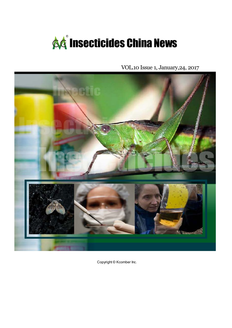

VOL.10 Issue 1, January,24, 2017



Copyright © Kcomber Inc.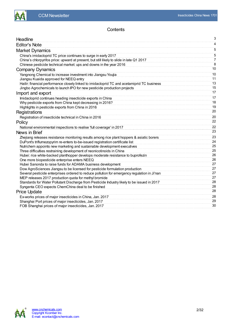

### **Contents**

| Headline                                                                                     | 3              |
|----------------------------------------------------------------------------------------------|----------------|
| <b>Editor's Note</b>                                                                         | 4              |
| <b>Market Dynamics</b>                                                                       | 5              |
| China's imidacloprid TC price continues to surge in early 2017                               | 5              |
| China's chlorpyrifos price: upward at present, but still likely to slide in late Q1 2017     | $\overline{7}$ |
| Chinese pesticide technical market: ups and downs in the year 2016                           | 8              |
| <b>Company Dynamics</b>                                                                      | 10             |
| Yangnong Chemical to increase investment into Jiangsu Youjia                                 | 10             |
| Jiangsu Kuaida approved for NEEQ entry                                                       | 11             |
| Hailir: financial performance closely linked to imidacloprid TC and acetamiprid TC business  | 13             |
| Jingbo Agrochemicals to launch IPO for new pesticide production projects                     | 15             |
| Import and export                                                                            | 17             |
| Imidacloprid continues heading insecticide exports in China                                  | 17             |
| Why pesticide exports from China kept decreasing in 2016?                                    | 18             |
| Highlights in pesticide exports from China in 2016                                           | 19             |
| Registrations                                                                                | 20             |
| Registration of insecticide technical in China in 2016                                       | 20             |
| Policy                                                                                       | 22             |
| National environmental inspections to realise 'full coverage' in 2017                        | 22             |
| News in Brief                                                                                | 23             |
| Zhejiang releases resistance monitoring results among rice plant hoppers & asiatic borers    | 23             |
| DuPont's triflumezopyrim re-enters to-be-issued registration certificate list                | 24             |
| Nutrichem appoints new marketing and sustainable development executives                      | 25             |
| Three difficulties restraining development of neonicotinoids in China                        | 25             |
| Hubei: rice white-backed planthopper develops moderate resistance to buprofezin              | 26             |
| One more biopesticide enterprise enters NEEQ                                                 | 26             |
| Hubei Sanonda to raise funds for ADAMA business development                                  | 27             |
| Dow AgroSciences Jiangsu to be licensed for pesticide formulation production                 | 27             |
| Several pesticide enterprises ordered to reduce pollution for emergency regulation in Ji'nan | 27             |
| MEP releases 2017 production quota for methyl bromide                                        | 27<br>28       |
| Standards for Water Pollutant Discharge from Pesticide Industry likely to be issued in 2017  | 28             |
| Syngenta CEO expects ChemChina deal to be finished                                           | 28             |
| <b>Price Update</b>                                                                          |                |
| Ex-works prices of major insecticides in China, Jan. 2017                                    | 28             |
| Shanghai Port prices of major insecticides, Jan. 2017                                        | 29             |
| FOB Shanghai prices of major insecticides, Jan. 2017                                         | 30             |

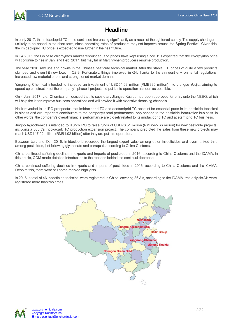

# **Headline**

<span id="page-2-0"></span>In early 2017, the imidacloprid TC price continued increasing significantly as a result of the tightened supply. The supply shortage is unlikely to be eased in the short term, since operating rates of producers may not improve around the Spring Festival. Given this, the imidacloprid TC price is expected to rise further in the near future.

In Q4 2016, the Chinese chlorpyrifos market rebounded, and prices have kept rising since. It is expected that the chlorpyrifos price will continue to rise in Jan. and Feb. 2017, but may fall in March when producers resume production.

The year 2016 saw ups and downs in the Chinese pesticide technical market. After the stable Q1, prices of quite a few products slumped and even hit new lows in Q2-3. Fortunately, things improved in Q4, thanks to the stringent environmental regulations, increased raw material prices and strengthened market demand.

Yangnong Chemical intended to increase an investment of USD54.68 million (RMB380 million) into Jiangsu Youjia, aiming to speed up construction of the company's phase II project and put it into operation as soon as possible.

On 4 Jan., 2017, Lier Chemical announced that its subsidiary Jiangsu Kuaida had been approved for entry onto the NEEQ, which will help the latter improve business operations and will provide it with extensive financing channels.

Hailir revealed in its IPO prospectus that imidacloprid TC and acetamiprid TC account for essential parts in its pesticide technical business and are important contributors to the company's total performance, only second to the pesticide formulation business. In other words, the company's overall financial performance are closely related to its imidacloprid TC and acetamiprid TC business.

Jingbo Agrochemicals intended to launch IPO to raise funds of USD78.51 million (RMB545.66 million) for new pesticide projects, including a 500 t/a indoxacarb TC production expansion project. The company predicted the sales from these new projects may reach USD147.02 million (RMB1.02 billion) after they are put into operation.

Between Jan. and Oct. 2016, imidacloprid recorded the largest export value among other insecticides and even ranked third among pesticides, just following glyphosate and paraquat, according to China Customs.

China continued suffering declines in exports and imports of pesticides in 2016, according to China Customs and the ICAMA. In this article, CCM made detailed introduction to the reasons behind the continual decrease.

China continued suffering declines in exports and imports of pesticides in 2016, according to China Customs and the ICAMA. Despite this, there were still some marked highlights.

In 2016, a total of 46 insecticide technical were registered in China, covering 36 AIs, according to the ICAMA. Yet, only sixAIs were registered more than two times.



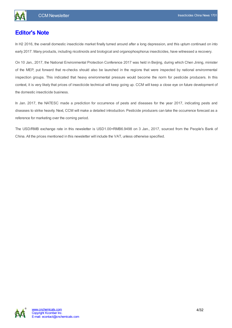

# <span id="page-3-0"></span>**Editor's Note**

In H2 2016, the overall domestic insecticide market finally turned around after a long depression, and this upturn continued on into early 2017. Many products, including nicotinoids and biological and organophosphorus insecticides, have witnessed a recovery.

On 10 Jan., 2017, the National Environmental Protection Conference 2017 was held in Beijing, during which Chen Jining, minister of the MEP, put forward that re-checks should also be launched in the regions that were inspected by national environmental inspection groups. This indicated that heavy environmental pressure would become the norm for pesticide producers. In this context, it is very likely that prices of insecticide technical will keep going up. CCM will keep a close eye on future development of the domestic insecticide business.

In Jan. 2017, the NATESC made a prediction for occurrence of pests and diseases for the year 2017, indicating pests and diseases to strike heavily. Next, CCM will make a detailed introduction. Pesticide producers can take the occurrence forecast as a reference for marketing over the coming period.

The USD/RMB exchange rate in this newsletter is USD1.00=RMB6.9498 on 3 Jan., 2017, sourced from the People's Bank of China. All the prices mentioned in this newsletter will include the VAT, unless otherwise specified.

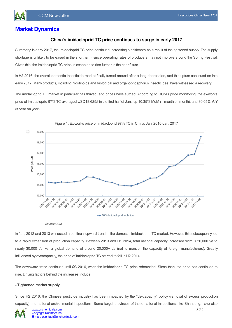# <span id="page-4-1"></span><span id="page-4-0"></span>**Market Dynamics**

### **China's imidacloprid TC price continues to surge in early 2017**

Summary: In early 2017, the imidacloprid TC price continued increasing significantly as a result of the tightened supply. The supply shortage is unlikely to be eased in the short term, since operating rates of producers may not improve around the Spring Festival. Given this, the imidacloprid TC price is expected to rise further in the near future.

In H2 2016, the overall domestic insecticide market finally turned around after a long depression, and this upturn continued on into early 2017. Many products, including nicotinoids and biological and organophosphorus insecticides, have witnessed a recovery.

The imidacloprid TC market in particular has thrived, and prices have surged. According to CCM's price monitoring, the ex-works price of imidacloprid 97% TC averaged USD18,625/t in the first half of Jan., up 10.35% MoM (= month on month), and 30.05% YoY (= year on year).



Figure 1: Ex-works price of imidacloprid 97% TC in China, Jan. 2016-Jan. 2017

*Source:CCM*

In fact, 2012 and 2013 witnessed a continual upward trend in the domestic imidacloprid TC market. However, this subsequently led to a rapid expansion of production capacity. Between 2013 and H1 2014, total national capacity increased from  $\leq$ 20,000 t/a to nearly 30,000 t/a, vs. a global demand of around 20,000+ t/a (not to mention the capacity of foreign manufacturers). Greatly influenced by overcapacity, the price of imidacloprid TC started to fall in H2 2014.

The downward trend continued until Q3 2016, when the imidacloprid TC price rebounded. Since then, the price has continued to rise. Driving factors behind the increases include:

#### **- Tightened market supply**

Since H2 2016, the Chinese pesticide industry has been impacted by the "de-capacity" policy (removal of excess production capacity) and national environmental inspections. Some target provinces of these national inspections, like Shandong, have also

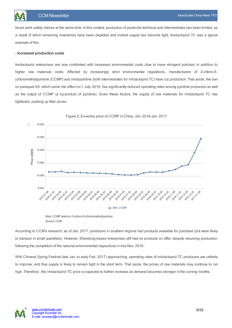faced work safety checks at the same time. In this context, production of pesticide technical and intermediates has been limited, as a result of which remaining inventories have been depleted and market supply has become tight. Imidacloprid TC was a typical example of this.

#### **- Increased production costs**

Imidacloprid enterprises are now confronted with increased environmental costs (due to more stringent policies) in addition to higher raw materials costs. Affected by increasingly strict environmental regulations, manufacturers of 2-chloro-5- (chloromethyl)pyridine (CCMP) and imidazolidine (both intermediates for imidacloprid TC) have cut production. That aside, the ban on paraquat AS, which came into effect on 1 July, 2016, has significantly reduced operating rates among pyridine producers as well as the output of CCMP (a by-product of pyridine). Given these factors, the supply of raw materials for imidacloprid TC has tightened, pushing up their prices.



Figure 2: Ex-works price of CCMP in China, Jan. 2016-Jan. 2017

*Note:CCMPrefers to 2-chloro-5-(chloromethyl)pyridine. Source:CCM*

According to CCM's research, as of Jan. 2017, producers in southern regions had products available for purchase (but were likely to transact in small quantities). However, Shandong-based enterprises still had no products on offer, despite resuming production following the completion of the national environmental inspections in mid-Nov. 2016.

With Chinese Spring Festival (late Jan. to early Feb. 2017) approaching, operating rates of imidacloprid TC producers are unlikely to improve, and thus supply is likely to remain tight in the short term. That aside, the prices of raw materials may continue to run high. Therefore, the imidacloprid TC price is expected to further increase as demand becomes stronger in the coming months.

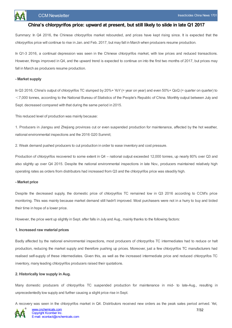

#### **China's chlorpyrifos price: upward at present, but still likely to slide in late Q1 2017**

<span id="page-6-0"></span>Summary: In Q4 2016, the Chinese chlorpyrifos market rebounded, and prices have kept rising since. It is expected that the chlorpyrifos price will continue to rise in Jan. and Feb. 2017, but may fall in March when producers resume production.

In Q1-3 2016, a continual depression was seen in the Chinese chlorpyrifos market, with low prices and reduced transactions. However, things improved in Q4, and the upward trend is expected to continue on into the first two months of 2017, but prices may fall in March as producers resume production.

#### **- Market supply**

In Q3 2016, China's output of chlorpyrifos TC slumped by 20%+ YoY (= year on year) and even 50%+ QoQ (= quarter on quarter) to <7,000 tonnes, according to the National Bureau of Statistics of the People's Republic of China. Monthly output between July and Sept. decreased compared with that during the same period in 2015.

This reduced level of production was mainly because:

1. Producers in Jiangsu and Zhejiang provinces cut or even suspended production for maintenance, affected by the hot weather, national environmental inspections and the 2016 G20 Summit;

2. Weak demand pushed producers to cut production in order to ease inventory and cost pressure.

Production of chlorpyrifos recovered to some extent in Q4 – national output exceeded 12,000 tonnes, up nearly 80% over Q3 and also slightly up over Q4 2015. Despite the national environmental inspections in late Nov., producers maintained relatively high operating rates as orders from distributors had increased from Q3 and the chlorpyrifos price was steadily high.

#### **- Market price**

Despite the decreased supply, the domestic price of chlorpyrifos TC remained low in Q3 2016 according to CCM's price monitoring. This was mainly because market demand still hadn't improved. Most purchasers were not in a hurry to buy and bided their time in hope of a lower price.

However, the price went up slightly in Sept. after falls in July and Aug., mainly thanks to the following factors:

#### **1. Increased raw material prices**

Badly affected by the national environmental inspections, most producers of chlorpyrifos TC intermediates had to reduce or halt production, reducing the market supply and therefore pushing up prices. Moreover, just a few chlorpyrifos TC manufacturers had realised self-supply of these intermediates. Given this, as well as the increased intermediate price and reduced chlorpyrifos TC inventory, many leading chlorpyrifos producers raised their quotations.

#### **2. Historically low supply in Aug.**

Many domestic producers of chlorpyrifos TC suspended production for maintenance in mid- to late-Aug., resulting in unprecedentedly low supply and further causing a slight price rise in Sept.

A recovery was seen in the chlorpyrifos market in Q4. Distributors received new orders as the peak sales period arrived. Yet,

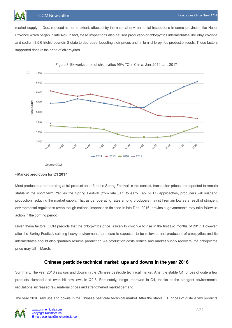market supply in Dec. reduced to some extent, affected by the national environmental inspections in some provinces like Hubei Province which began in late Nov. In fact, these inspections also caused production of chlorpyrifos intermediates like ethyl chloride and sodium 3,5,6-trichloropyridin-2-olate to decrease, boosting their prices and, in turn, chlorpyrifos production costs. These factors supported rises in the price of chlorpyrifos.



Figure 3: Ex-works price of chlorpyrifos 95% TC in China, Jan. 2014-Jan. 2017

*Source:CCM*

#### **- Market prediction for Q1 2017**

Most producers are operating at full production before the Spring Festival. In this context, transaction prices are expected to remain stable in the short term. Yet, as the Spring Festival (from late Jan. to early Feb. 2017) approaches, producers will suspend production, reducing the market supply. That aside, operating rates among producers may still remain low as a result of stringent environmental regulations (even though national inspections finished in late Dec. 2016, provincial governments may take follow-up action in the coming period).

Given these factors, CCM predicts that the chlorpyrifos price is likely to continue to rise in the first two months of 2017. However, after the Spring Festival, existing heavy environmental pressure is expected to be relieved, and producers of chlorpyrifos and its intermediates should also gradually resume production. As production costs reduce and market supply recovers, the chlorpyrifos price may fall in March.

### **Chinese pesticide technical market: ups and downs in the year 2016**

<span id="page-7-0"></span>Summary: The year 2016 saw ups and downs in the Chinese pesticide technical market. After the stable Q1, prices of quite a few products slumped and even hit new lows in Q2-3. Fortunately, things improved in Q4, thanks to the stringent environmental regulations, increased raw material prices and strengthened market demand.

The year 2016 saw ups and downs in the Chinese pesticide technical market. After the stable Q1, prices of quite a few products

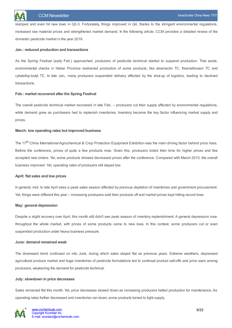slumped and even hit new lows in Q2-3. Fortunately, things improved in Q4, thanks to the stringent environmental regulations, increased raw material prices and strengthened market demand. In the following article, CCM provides a detailed review of the domestic pesticide market in the year 2016.

#### **Jan.: reduced production and transactions**

As the Spring Festival (early Feb.) approached, producers of pesticide technical started to suspend production. That aside, environmental checks in Hebei Province restrained production of some products, like abamectin TC, thiamethoxam TC and cyhalofop-butyl TC. In late Jan., many producers suspended delivery affected by the shut-up of logistics, leading to declined transactions.

#### **Feb.: market recovered after the Spring Festival**

The overall pesticide technical market recovered in late Feb. – producers cut their supply affected by environmental regulations, while demand grew as purchasers had to replenish inventories. Inventory became the key factor influencing market supply and prices.

#### **March: low operating rates but improved business**

The 17<sup>th</sup> China International Agrochemical & Crop Protection Equipment Exhibition was the main driving factor behind price rises. Before the conference, prices of quite a few products rose. Given this, producers bided their time for higher prices and few accepted new orders. Yet, some products showed decreased prices after the conference. Compared with March 2015, the overall business improved. Yet, operating rates of producers still stayed low.

#### **April: flat sales and low prices**

In general, mid- to late April sees a peak sales season affected by previous depletion of inventories and government procurement. Yet, things were different this year – increasing producers sold their products off and market prices kept hitting record lows.

#### **May: general depression**

Despite a slight recovery over April, this month still didn't see peak season of inventory replenishment. A general depression rose throughout the whole market, with prices of some products came to new lows. In this context, some producers cut or even suspended production under heavy business pressure.

#### **June: demand remained weak**

The downward trend continued on into June, during which sales stayed flat as previous years. Extreme weathers, depressed agricultural produce market and huge inventories of pesticide formulations led to continual product sell-offs and price wars among producers, weakening the demand for pesticide technical.

#### **July: slowdown in price decreases**

Sales remained flat this month. Yet, price decreases slowed down as increasing producers halted production for maintenance. As operating rates further decreased and inventories ran down, some products turned to tight supply.

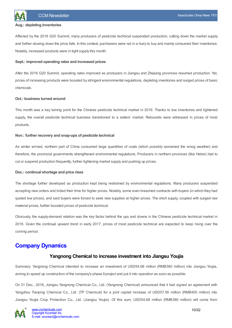

#### **Aug.: depleting inventories**

Affected by the 2016 G20 Summit, many producers of pesticide technical suspended production, cutting down the market supply and further slowing down the price falls. In this context, purchasers were not in a hurry to buy and mainly consumed their inventories. Notably, increased products were in tight supply this month.

#### **Sept.: improved operating rates and increased prices**

After the 2016 G20 Summit, operating rates improved as producers in Jiangsu and Zhejiang provinces resumed production. Yet, prices of increasing products were boosted by stringent environmental regulations, depleting inventories and surged prices of basic chemicals.

#### **Oct.: business turned around**

This month was a key turning point for the Chinese pesticide technical market in 2016. Thanks to low inventories and tightened supply, the overall pesticide technical business transitioned to a sellers' market. Rebounds were witnessed in prices of most products.

#### **Nov.: further recovery and snap-ups of pesticide technical**

As winter arrived, northern part of China consumed large quantities of coals (which possibly worsened the smog weather) and therefore, the provincial governments strengthened environmental regulations. Producers in northern provinces (like Hebei) had to cut or suspend production frequently, further tightening market supply and pushing up prices.

#### **Dec.: continual shortage and price rises**

The shortage further developed as production kept being restrained by environmental regulations. Many producers suspended accepting new orders and bided their time for higher prices. Notably, some even breached contracts with buyers (in which they had quoted low prices), and said buyers were forced to seek new supplies at higher prices. The short supply, coupled with surged raw material prices, further boosted prices of pesticide technical.

Obviously, the supply-demand relation was the key factor behind the ups and downs in the Chinese pesticide technical market in 2016. Given the continual upward trend in early 2017, prices of most pesticide technical are expected to keep rising over the coming period.

## <span id="page-9-1"></span><span id="page-9-0"></span>**Company Dynamics**

#### **Yangnong Chemical to increase investment into Jiangsu Youjia**

Summary: Yangnong Chemical intended to increase an investment of USD54.68 million (RMB380 million) into Jiangsu Youjia, aiming to speed up construction of the company's phase II project and put it into operation as soon as possible.

On 31 Dec., 2016, Jiangsu Yangnong Chemical Co., Ltd. (Yangnong Chemical) announced that it had signed an agreement with Yangzhou Tianping Chemical Co., Ltd. (TP Chemical) for a joint capital increase of USD57.56 million (RMB400 million) into Jiangsu Youjia Crop Protection Co., Ltd. (Jiangsu Youjia). Of this sum, USD54.68 million (RMB380 million) will come from

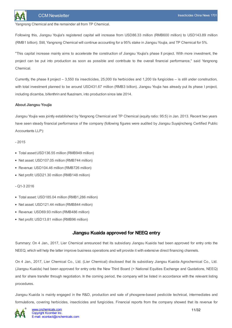

Yangnong Chemical and the remainder all from TP Chemical.

Following this, Jiangsu Youjia's registered capital will increase from USD86.33 million (RMB600 million) to USD143.89 million (RMB1 billion). Still, Yangnong Chemical will continue accounting for a 95% stake in Jiangsu Youjia, and TP Chemical for 5%.

"This capital increase mainly aims to accelerate the construction of Jiangsu Youjia's phase II project. With more investment, the project can be put into production as soon as possible and contribute to the overall financial performance," said Yangnong Chemical.

Currently, the phase II project – 3,550 t/a insecticides, 25,000 t/a herbicides and 1,200 t/a fungicides – is still under construction, with total investment planned to be around USD431.67 million (RMB3 billion). Jiangsu Youjia has already put its phase I project, including dicamba, bifenthrin and fluazinam, into production since late 2014.

#### **About Jiangsu Youjia**

Jiangsu Youjia was jointly established by Yangnong Chemical and TP Chemical (equity ratio: 95:5) in Jan. 2013. Recent two years have seen steady financial performance of the company (following figures were audited by Jiangsu Suyajincheng Certified Public Accountants LLP):

 $-2015$ 

- Total asset:USD136.55 million (RMB949 million)
- Net asset: USD107.05 million (RMB744 million)
- Revenue: USD104.46 million (RMB726 million)
- Net profit: USD21.30 million (RMB148 million)
- $-$  Q<sub>1</sub>-3 2016
- Total asset: USD185.04 million (RMB1,286 million)
- Net asset: USD121.44 million (RMB844 million)
- Revenue: USD69.93 million (RMB486 million)
- Net profit: USD13.81 million (RMB96 million)

### **Jiangsu Kuaida approved for NEEQ entry**

<span id="page-10-0"></span>Summary: On 4 Jan., 2017, Lier Chemical announced that its subsidiary Jiangsu Kuaida had been approved for entry onto the NEEQ, which will help the latter improve business operations and will provide it with extensive direct financing channels.

On 4 Jan., 2017, Lier Chemical Co., Ltd. (Lier Chemical) disclosed that its subsidiary Jiangsu Kuaida Agrochemical Co., Ltd. (Jiangsu Kuaida) had been approved for entry onto the New Third Board (= National Equities Exchange and Quotations, NEEQ) and for share transfer through negotiation. In the coming period, the company will be listed in accordance with the relevant listing procedures.

Jiangsu Kuaida is mainly engaged in the R&D, production and sale of phosgene-based pesticide technical, intermediates and formulations, covering herbicides, insecticides and fungicides. Financial reports from the company showed that its revenue for

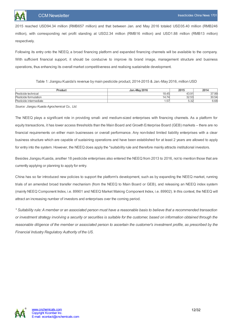2015 reached USD94.34 million (RMB657 million) and that between Jan. and May 2016 totaled USD35.40 million (RMB246 million), with corresponding net profit standing at USD2.34 million (RMB16 million) and USD1.88 million (RMB13 million) respectively.

Following its entry onto the NEEQ, a broad financing platform and expanded financing channels will be available to the company. With sufficient financial support, it should be conducive to improve its brand image, management structure and business operations, thus enhancing its overall market competitiveness and realising sustainable development.

Table 1: Jiangsu Kuaida's revenue by main pesticide product, 2014-2015 & Jan.-May 2016, million USD

| Product                | <b>Jan.-May 2016</b>       | 2015                  | 2014  |
|------------------------|----------------------------|-----------------------|-------|
| Pesticide technical    | 18.45                      | 43.91'                | 37.99 |
| Pesticide formulation  | $\rightarrow$<br>.74<br>ıд | 32.53                 | 30.54 |
| Pesticide intermediate | . 57                       | $\sim$ $\sim$<br>ວ.ວ∠ | 6.68  |

*Source: Jiangsu Kuaida Agrochemical Co., Ltd.*

The NEEQ plays a significant role in providing small- and medium-sized enterprises with financing channels. As a platform for equity transactions, it has lower access thresholds than the Main Board and Growth Enterprise Board (GEB) markets – there are no financial requirements on either main businesses or overall performance. Any non-listed limited liability enterprises with a clear business structure which are capable of sustaining operations and have been established for at least 2 years are allowed to apply for entry into the system. However, the NEEQ does apply the \*suitability rule and therefore mainly attracts institutional investors.

Besides Jiangsu Kuaida, another 18 pesticide enterprises also entered the NEEQ from 2013 to 2016, not to mention those that are currently applying or planning to apply for entry.

China has so far introduced new policies to support the platform's development, such as by expanding the NEEQ market, running trials of an amended broad transfer mechanism (from the NEEQ to Main Board or GEB), and releasing an NEEQ index system (mainly NEEQ Component Index, i.e. 89901 and NEEQ Market Making Component Index, i.e. 89902). In this context, the NEEQ will attract an increasing number of investors and enterprises over the coming period.

\* Suitability rule: A member or an associated person must have a reasonable basis to believe that a recommended transaction or investment strategy involving a security or securities is suitable for the customer, based on information obtained through the reasonable diligence of the member or associated person to ascertain the customer's investment profile, as prescribed by the *Financial Industry Regulatory Authority of the US.*

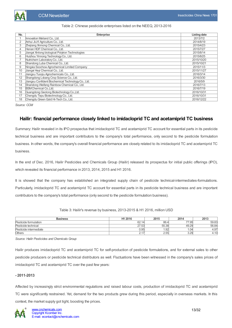

#### Table 2: Chinese pesticide enterprises listed on the NEEQ, 2013-2016

| No. | <b>Enterprise</b>                                  | <b>Listing date</b> |
|-----|----------------------------------------------------|---------------------|
|     | Innovation Meiland Co., Ltd.                       | 2013/7/2            |
| 2   | Anhui JiuYi Agriculture Co., Ltd.                  | 2014/8/19           |
| 3   | Zhejiang Xinnong Chemical Co., Ltd.                | 2015/4/23           |
| 4   | Henan HDF Chemical Co., Ltd.                       | 2015/7/27           |
| 5   | Jiangxi Xinlong biological Polytron Technologies   | 2015/8/14           |
| 6   | Huizhou Yinnong Technology Co., Ltd.               | 2015/8/25           |
|     | Nutrichem Laboratory Co., Ltd.                     | 2015/10/20          |
| 8   | Shandong Luba Chemical Co., Ltd.                   | 2015/10/21          |
| 9   | Ningxia Soochow Agrochemical Limited Company       | 2015/11/3           |
| 10  | Jiangxi Heyi Chemical Co., Ltd.                    | 2015/11/27          |
| 11  | Jiangsu Tuogiu Agrochemicals Co., Ltd.             | 2016/3/14           |
| 12  | Shangdong Lybang Crop Science Co., Ltd.            | 2016/3/30           |
| 13  | Jiangsu Confident Biochemical Technology Co., Ltd. | 2016/5/9            |
| 14  | Shandong Weifang Rainbow Chemical Co., Ltd.        | 2016/7/13           |
| 15  | <b>IBSM Chemical CoLtd.</b>                        | 2016/7/19           |
| 16  | Guangdong Geolong Biotechnology Co., Ltd.          | 2016/10/31          |
| 17  | Chengdu Tepu Biotechnology Co., Ltd.               | 2016/10/31          |
| 18  | Chengdu Green Gold Hi-Tech Co., Ltd.               | 2016/12/22          |

*Source: CCM*

### <span id="page-12-0"></span>**Hailir: financial performance closely linked to imidacloprid TC and acetamiprid TC business**

Summary: Hailir revealed in its IPO prospectus that imidacloprid TC and acetamiprid TC account for essential parts in its pesticide technical business and are important contributors to the company's total performance, only second to the pesticide formulation business. In other words, the company's overall financial performance are closely related to its imidacloprid TC and acetamiprid TC business.

In the end of Dec. 2016, Hailir Pesticides and Chemicals Group (Hailir) released its prospectus for initial public offerings (IPO), which revealed its financial performance in 2013, 2014, 2015 and H1 2016.

It is showed that the company has established an integrated supply chain of pesticide technical-intermediates-formulations. Particularly, imidacloprid TC and acetamiprid TC account for essential parts in its pesticide technical business and are important contributors to the company's total performance (only second to the pesticide formulation business).

| <b>Business</b>        | H1 2016     | 2015  | 2014  | 2013                     |
|------------------------|-------------|-------|-------|--------------------------|
| Pesticide formulation  | 62.1<br>-14 | 86.4  | 77.95 | 59.83                    |
| Pesticide technical    | 27.53       | 55.38 | 49.29 | 56.84                    |
| Pesticide intermediate | 0.95        | 92ا،  | 1.04  | 4.97                     |
| <b>Others</b>          | <u>.</u>    | 2.55  | 3.29  | $\overline{A}$<br>4. I V |

Table 3: Hailir's revenue by business, 2013-2015 & H1 2016, million USD

*Source: Hailir Pesticides and Chemicals Group*

Hailir produces imidacloprid TC and acetamiprid TC for self-production of pesticide formulations, and for external sales to other pesticide producers or pesticide technical distributors as well. Fluctuations have been witnessed in the company's sales prices of imidacloprid TC and acetamiprid TC over the past few years:

#### **- 2011-2013**

Affected by increasingly strict environmental regulations and raised labour costs, production of imidacloprid TC and acetamiprid TC were significantly restrained. Yet, demand for the two products grew during this period, especially in overseas markets. In this context, the market supply got tight, boosting the prices.

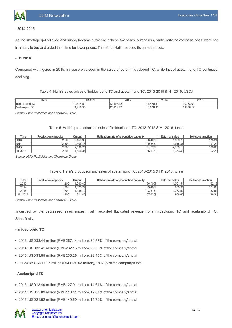

#### **- 2014-2015**

As the shortage got relieved and supply became sufficient in these two years, purchasers, particularly the overseas ones, were not in a hurry to buy and bided their time for lower prices. Therefore, Hailir reduced its quoted prices.

#### **- H1 2016**

Compared with figures in 2015, increase was seen in the sales price of imidacloprid TC, while that of acetamiprid TC continued declining.

Table 4: Hailir's sales prices of imidacloprid TC and acetamiprid TC, 2013-2015 & H1 2016, USD/t

| ltem                       | H1 2016                                                      | 2015                      | 2014                                            | 2013             |
|----------------------------|--------------------------------------------------------------|---------------------------|-------------------------------------------------|------------------|
| $\sim$<br>llmidacloprid IC | $ \sim$<br>$- -$<br>エ・ソレ<br>$\cdot$                          | $1.105.3^\circ$<br>エンジンシン | 126F<br>$\overline{a}$ $\overline{a}$<br>7.JU.J | nnnnn<br>יט.טבעב |
| $-$<br>Acetamiprid TC      | $\Omega$<br>$\bigcap_{n \in \mathbb{N}}$<br>11.333<br>$\sim$ | $\Delta$ 23.77<br>12 J.I  | $F A \cap R$<br>116.1<br>$\sim$                 | 1027             |

*Source: Hailir Pesticides and Chemicals Group*

#### Table 5: Hailir's production and sales of imidacloprid TC, 2013-2015 & H1 2016, tonne

| Time                | <b>Production capacity</b> | Output   | Utilisation rate of production capacity | <b>External sales</b> | Self-consumption |
|---------------------|----------------------------|----------|-----------------------------------------|-----------------------|------------------|
| 2013                | 2,500                      | 2.159.95 | 86.40%                                  | .899.79               | 178.24           |
| 2014                | 2.500                      | 2.508.48 | 100.34%                                 | .915.86               | 191.21           |
| 2015                | 2.500                      | 2.539.25 | 101.57%                                 | 2,709.11              | 196.63           |
| H <sub>1</sub> 2016 | 2,500                      | .654.37  | 66.17%                                  | .373.49               | 92.28            |

*Source: Hailir Pesticides and Chemicals Group*

#### Table 6: Hailir's production and sales of acetamiprid TC, 2013-2015 & H1 2016, tonne

| Time    | <b>Production capacity</b> | Output   | Utilisation rate of production capacity | <b>External sales</b> | Self-consumption |
|---------|----------------------------|----------|-----------------------------------------|-----------------------|------------------|
| 2013    | .200                       | .040.40  | 86.70%                                  | .001.54               | 52.19            |
| 2014    | .200                       | .673.77  | 139.48%                                 | 959.98                | 121.63           |
| 2015    | .200                       | .485.721 | 123.81%                                 | .732.53               | 52.91            |
| H1 2016 | .200                       | 811.45   | 67.62%                                  | 906.63                | 26.34            |

*Source: Hailir Pesticides and Chemicals Group*

Influenced by the decreased sales prices, Hailir recorded fluctuated revenue from imidacloprid TC and acetamiprid TC. Specifically,

#### **- Imidacloprid TC**

- 2013: USD38.44 million (RMB267.14 million), 30.57% of the company's total
- 2014: USD33.41 million (RMB232.16 million), 25.39% of the company's total
- 2015: USD33.85 million (RMB235.26 million), 23.15% of the company's total
- H1 2016: USD17.27 million (RMB120.03 million), 18.61% of the company's total

#### **- Acetamiprid TC**

- 2013: USD18.40 million (RMB127.91 million), 14.64% of the company's total
- 2014: USD15.89 million (RMB110.41 million), 12.07% of the company's total
- 2015: USD21.52 million (RMB149.59 million), 14.72% of the company's total

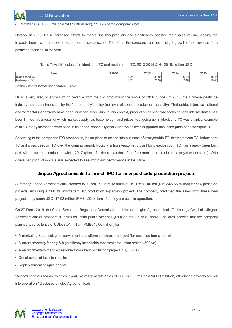

#### H1 2016: USD10.26 million (RMB71.30 million), 11.06% of the company's total

Notably, in 2015, Hailir increased efforts to market the two products and significantly boosted their sales volume, easing the impacts from the decreased sales prices to some extent. Therefore, the company realised a slight growth of the revenue from pesticide technical in the year.

| Item                        | $H$ $A$ $0$ $0$ $A$ $0$       | 2015          | 2014                 | 2013                      |
|-----------------------------|-------------------------------|---------------|----------------------|---------------------------|
| $-$<br><i>Ilmidacioprio</i> | $\sim$ $\sim$ $\sim$<br>، ے ، | 0000<br>uu.uc | ◡◡.                  | ററ<br>JU.                 |
| $-$<br>Acetan               | $\sim$ $\sim$<br>1 U.ZU       | 21.JZ         | $\sim$<br>റ<br>15.89 | $\cdot$ . $\cdot$ $\cdot$ |

*Source: Hailir Pesticides and Chemicals Group*

Hailir is very likely to enjoy surging revenue from the two products in the whole of 2016. Since H2 2016, the Chinese pesticide industry has been impacted by the "de-capacity" policy (removal of excess production capacity). That aside, intensive national environmental inspections have been launched since July. In this context, production of pesticide technical and intermediates has been limited, as a result of which market supply has become tight and prices kept going up. Imidacloprid TC was a typical example of this. Steady increases were seen in its prices, especially after Sept. which even supported rise in the price of acetamiprid TC.

According to the company's IPO prospectus, it also plans to extend into business of azoxystrobin TC, thiamethoxam TC, indoxacarb TC and pyraclostrobin TC over the coming period. Notably, a highly-automatic plant for pyraclostrobin TC has already been built and will be put into production within 2017 (plants for the remainder of the fore-mentioned products have yet to construct). With diversified product mix, Hailir is expected to see improving performance in the future.

### **Jingbo Agrochemicals to launch IPO for new pesticide production projects**

<span id="page-14-0"></span>Summary: Jingbo Agrochemicals intended to launch IPO to raise funds of USD78.51 million (RMB545.66 million) for new pesticide projects, including a 500 t/a indoxacarb TC production expansion project. The company predicted the sales from these new projects may reach USD147.02 million (RMB1.02 billion) after they are put into operation.

On 27 Dec., 2016, the China Securities Regulatory Commission publicised Jingbo Agrochemicals Technology Co., Ltd. (Jingbo Agrochemicals)'s prospectus (draft) for initial public offerings (IPO) on the ChiNext Board. The draft showed that the company planned to raise funds of USD78.51 million (RMB545.66 million) for:

- A marketing & technological service online platform construction project (for pesticide formulations)
- A environmentally friendly & high efficacy insecticide technical production project (500 t/a)
- A environmentally friendly pesticide formulation production project (10,000 t/a)
- Construction of technical centre
- Replenishment of liquid capital

"According to our feasibility study report, we will generate sales of USD147.02 million (RMB1.02 billion) after these projects are put into operation," disclosed Jingbo Agrochemicals.

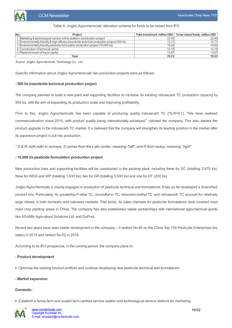

#### Table 8: Jingbo Agrochemicals' allocation scheme for funds to be raised from IPO

| No. | Project                                                                                       |       | Total investment, million USD   To-be-raised funds, million USD |
|-----|-----------------------------------------------------------------------------------------------|-------|-----------------------------------------------------------------|
|     | Marketing & technological service online platform construction project                        | 22.40 | 22.40                                                           |
|     | 2 Environmentally friendly & high efficacy insecticide technical production project (500 t/a) | 12.71 | 12.71                                                           |
|     | 3 Environmentally friendly pesticide formulation production project (10,000 t/a)              | 15.63 | 15.63                                                           |
|     | 4 Construction of technical centre                                                            | 14.10 | 14.10                                                           |
|     | 5 Replenishment of liquid capital                                                             | 13.67 | 13.67                                                           |
|     | Total                                                                                         | 78.51 | 78.51                                                           |

*Source: Jingbo Agrochemicals Technology Co., Ltd.*

Specific information about Jingbo Agrochemicals' two production projects were as follows:

#### **- 500 t/a insecticide technical production project**

The company planned to build a new plant and supporting facilities to increase its existing indoxacarb TC production capacity by 500 t/a, with the aim of expanding its production scale and improving profitability.

Prior to this, Jingbo Agrochemicals has been capable of producing quality indoxacarb TC (\*S:R=9:1). "We have realised commercialisation since 2015, with product quality being internationally advanced," claimed the company. This also started the product upgrade in the indoxacarb TC market. It is believed that the company will strengthen its leading position in the market after its expansion project is put into production.

\* S & R: both refer to isomers, S comes from the Latin siniter, meaning "left", and R from rectus, meaning "right".

#### **- 10,000 t/a pesticide formulation production project**

New production lines and supporting facilities will be constructed in the existing plant, including three for SC (totalling 2,670 t/a), three for WDG and WP (totalling 1,630 t/a), two for GR (totalling 5,500 t/a) and one for DF (200 t/a).

Jingbo Agrochemicals is mainly engaged in production of pesticide technical and formulations. It has so far developed a diversified product mix. Particularly, its quizalofop-P-ethyl TC, nicosulfuron TC, kresoxim-methyl TC and indoxacarb TC account for relatively large shares in both domestic and overseas markets. That aside, its sales channels for pesticide formulations have covered most main crop planting areas in China. The company has also established stable partnerships with international agrochemical giants like ADAMA Agricultural Solutions Ltd. and DuPont.

Recent two years have seen stable development in the company – it ranked No.46 on the China Top 100 Pesticide Enterprises (by sales) in 2015 and ranked No.52 in 2016.

According to its IPO prospectus, in the coming period, the company plans to:

#### **- Product development**

Optimise the existing product portfolio and continue developing new pesticide technical and formulations

#### **- Market expansion**

#### **Domestic:**

Establish a family farm and scaled farm centred service system and technological service stations for marketing

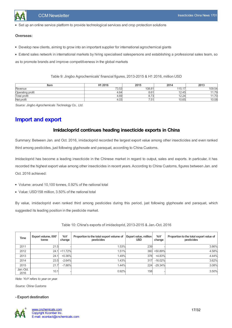

Set up an online service platform to provide technological services and crop protection solutions

#### **Overseas:**

- Develop new clients, aiming to grow into an important supplier for international agrochemical giants
- Extend sales network in international markets by hiring specialised salespersons and establishing a professional sales team, so

as to promote brands and improve competitiveness in the global markets

Table 9: Jingbo Agrochemicals' financial figures, 2013-2015 & H1 2016, million USD

| Item                | H1 2016 | 2015              | 2014            | 2013                     |
|---------------------|---------|-------------------|-----------------|--------------------------|
| Revenue             | 73.53   | 108.81            | 115<br>$\cup$ . | 109.54                   |
| Operating profit    | 4.64    | 8.61              | 12.45           | $\rightarrow$            |
| <b>Total profit</b> | 4.69    | $\sim -c$<br>0.13 | 12.24           | $\overline{\phantom{0}}$ |
| Net profit          | 4.03    | 7.51              | 10.65           | 10.08                    |

*Source: Jingbo Agrochemicals Technology Co., Ltd.*

# <span id="page-16-1"></span><span id="page-16-0"></span>**Import and export**

### **Imidacloprid continues heading insecticide exports in China**

Summary: Between Jan. and Oct. 2016, imidacloprid recorded the largest export value among other insecticides and even ranked third among pesticides, just following glyphosate and paraquat, according to China Customs.

Imidacloprid has become a leading insecticide in the Chinese market in regard to output, sales and exports. In particular, it has recorded the highest export value among other insecticides in recent years. According to China Customs, figures between Jan. and Oct. 2016 achieved:

- Volume: around 10,100 tonnes, 0.92% of the national total
- Value: USD158 million, 3.50% of the national total

By value, imidacloprid even ranked third among pesticides during this period, just following glyphosate and paraquat, which suggested its leading position in the pesticide market.

| Time              | Export volume, 000'<br>tonne | YoY<br>change | Proportion to the total export volume of<br>pesticides | Export value, million<br><b>USD</b> | YoY<br>change | Proportion to the total export value of<br>pesticides |
|-------------------|------------------------------|---------------|--------------------------------------------------------|-------------------------------------|---------------|-------------------------------------------------------|
| 2011              | 21.5                         |               | 1.53%                                                  | 239                                 |               | 3.86%                                                 |
| 2012              |                              | 24.1 +11.72%  | 1.51%                                                  | 360                                 | +50.89%       | 4.58%                                                 |
| 2013              | 24.1                         | $+0.36%$      | 1.49%                                                  | 378                                 | $+4.83%$      | 4.44%                                                 |
| 2014              | 23.5                         | $-2.64%$      | 1.43%                                                  | 317                                 | $-16.02%$     | 3.62%                                                 |
| 2015              | 21.7                         | $-7.86%$      | 1.44%                                                  | 224                                 | $-29.34%$     | 3.08%                                                 |
| Jan.-Oct.<br>2016 | 10.1                         |               | 0.92%                                                  | 158                                 |               | 3.50%                                                 |

Table 10: China's exports of imidacloprid, 2013-2015 & Jan.-Oct. 2016

*Note: YoY refers to year on year.*

*Source: China Customs*

#### **- Export destination**

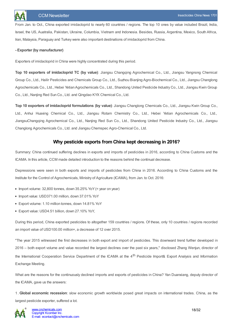From Jan. to Oct., China exported imidacloprid to nearly 60 countries / regions. The top 10 ones by value included Brazil, India, Israel, the US, Auatralia, Pakistan, Ukraine, Columbia, Vietnam and Indonesia. Besides, Russia, Argentina, Mexico, South Africa, Iran, Malaysia, Paraguay and Turkey were also important destinations of imidacloprid from China.

#### **- Exporter (by manufacturer)**

Exporters of imidacloprid in China were highly concentrated during this period.

**Top 10 exporters of imidacloprid TC (by value)**: Jiangsu Changqing Agrochemical Co., Ltd., Jiangsu Yangnong Chemical Group Co., Ltd., Hailir Pesticides and Chemicals Group Co., Ltd., Suzhou Bianjing Agro-Biochemical Co., Ltd., Jiangsu Changlong Agrochemicals Co., Ltd., Hebei Yetian Agrochemicals Co., Ltd., Shandong United Pesticide Industry Co., Ltd., Jiangsu Kwin Group Co., Ltd., Nanjing Red Sun Co., Ltd. and Qingdao KYX Chemical Co., Ltd.

**Top 10 exporters of imidacloprid formulations (by value)**: Jiangsu Changlong Chemicals Co., Ltd., Jiangsu Kwin Group Co., Ltd., Anhui Huaxing Chemical Co., Ltd., Jiangsu Rotam Chemistry Co., Ltd., Hebei Yetian Agrochemicals Co., Ltd., JiangsuChangqing Agrochemical Co., Ltd., Nanjing Red Sun Co., Ltd., Shandong United Pesticide Industry Co., Ltd., Jiangsu Changlong Agrochemicals Co., Ltd. and Jiangsu Chemspec Agro-Chemical Co., Ltd.

### **Why pesticide exports from China kept decreasing in 2016?**

<span id="page-17-0"></span>Summary: China continued suffering declines in exports and imports of pesticides in 2016, according to China Customs and the ICAMA. In this article, CCM made detailed introduction to the reasons behind the continual decrease.

Depressions were seen in both exports and imports of pesticides from China in 2016. According to China Customs and the Institute for the Control of Agrochemicals, Ministry of Agriculture (ICAMA), from Jan. to Oct. 2016:

- $\bullet$  Import volume: 32,800 tonnes, down 35.25% YoY (= year on year)
- Import value: USD371.00 million, down 37.01% YoY
- Export volume: 1.10 million tonnes, down 14.81% YoY
- Export value: USD4.51 billion, down 27.10% YoY,

During this period, China exported pesticides to altogether 159 countries / regions. Of these, only 10 countries / regions recorded an import value of USD100.00 million+, a decrease of 12 over 2015.

"The year 2015 witnessed the first decreases in both export and import of pesticides. This downward trend further developed in 2016 – both export volume and value recorded the largest declines over the past six years," disclosed Zhang Wenjun, director of the International Cooperation Service Department of the ICAMA at the 4<sup>th</sup> Pesticide Import& Export Analysis and Information Exchange Meeting.

What are the reasons for the continuously declined imports and exports of pesticides in China? Yan Duanxiang, deputy director of the ICAMA, gave us the answers:

1. **Global economic recession**: slow economic growth worldwide posed great impacts on international trades. China, as the largest pesticide exporter, suffered a lot.

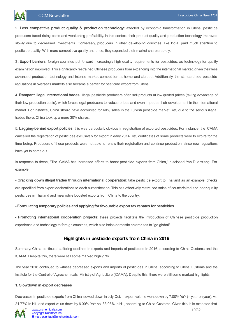2 . **Less competitive product quality & production technology**: affected by economic transformation in China, pesticide producers faced rising costs and weakening profitability. In this context, their product quality and production technology improved slowly due to decreased investments. Conversely, producers in other developing countries, like India, paid much attention to pesticide quality. With more competitive quality and price, they expanded their market shares rapidly.

3. **Export barriers**: foreign countries put forward increasingly high quality requirements for pesticides, as technology for quality examination improved. This significantly restrained Chinese producers from expanding into the international market, given their less advanced production technology and intense market competition at home and abroad. Additionally, the standardised pesticide regulations in overseas markets also became a barrier for pesticide export from China.

4. **Rampant illegal international trades**: illegal pesticide producers often sell products at low quoted prices (taking advantage of their low production costs), which forces legal producers to reduce prices and even impedes their development in the international market. For instance, China should have accounted for 60% sales in the Turkish pesticide market. Yet, due to the serious illegal trades there, China took up a mere 30% shares.

5. **Lagging-behind export policies**: this was particularly obvious in registration of exported pesticides. For instance, the ICAMA cancelled the registration of pesticides exclusively for export in early 2014. Yet, certificates of some products were to expire for the time being. Producers of these products were not able to renew their registration and continue production, since new regulations have yet to come out.

In response to these, "The ICAMA has increased efforts to boost pesticide exports from China," disclosed Yan Duanxiang. For example,

**- Cracking down illegal trades through international cooperation**: take pesticide export to Thailand as an example: checks are specified from export declarations to each authentication. This has effectively restrained sales of counterfeited and poor-quality pesticides in Thailand and meanwhile boosted exports from China to the country.

#### **- Formulating temporary policies and applying for favourable export tax rebates for pesticides**

- **Promoting international cooperation projects**: these projects facilitate the introduction of Chinese pesticide production experience and technology to foreign countries, which also helps domestic enterprises to "go global".

### **Highlights in pesticide exports from China in 2016**

<span id="page-18-0"></span>Summary: China continued suffering declines in exports and imports of pesticides in 2016, according to China Customs and the ICAMA. Despite this, there were still some marked highlights.

The year 2016 continued to witness depressed exports and imports of pesticides in China, according to China Customs and the Institute for the Control of Agrochemicals, Ministry of Agriculture (ICAMA). Despite this, there were still some marked highlights.

#### **1. Slowdown in export decreases**

Decreases in pesticide exports from China slowed down in July-Oct. – export volume went down by 7.00% YoY (= year on year), vs. 21.77% in H1, and export value down by 6.00% YoY, vs. 33.03% in H1, according to China Customs. Given this, it is expected that

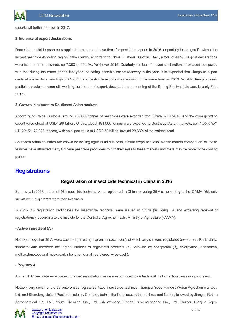exports will further improve in 2017.

#### **2. Increase of export declarations**

Domestic pesticide producers applied to increase declarations for pesticide exports in 2016, especially in Jiangsu Province, the largest pesticide exporting region in the country. According to China Customs, as of 26 Dec., a total of 44,983 export declarations were issued in the province, up 7,308 (= 19.40% YoY) over 2015. Quarterly number of issued declarations increased compared with that during the same period last year, indicating possible export recovery in the year. It is expected that Jiangsu's export declarations will hit a new high of ≥45,000, and pesticide exports may rebound to the same level as 2013. Notably, Jiangsu-based pesticide producers were still working hard to boost export, despite the approaching of the Spring Festival (late Jan. to early Feb. 2017).

#### **3. Growth in exports to Southeast Asian markets**

According to China Customs, around 730,000 tonnes of pesticides were exported from China in H1 2016, and the corresponding export value stood at USD1.96 billion. Of this, about 191,000 tonnes were exported to Southeast Asian markets, up 11.05% YoY (H1 2015: 172,000 tonnes), with an export value of USD0.58 billion, around 29.83% of the national total.

Southeast Asian countries are known for thriving agricultural business, similar crops and less intense market competition. All these features have attracted many Chinese pesticide producers to turn their eyes to these markets and there may be more in the coming period.

# <span id="page-19-1"></span><span id="page-19-0"></span>**Registrations**

### **Registration of insecticide technical in China in 2016**

Summary: In 2016, a total of 46 insecticide technical were registered in China, covering 36 AIs, according to the ICAMA. Yet, only six AIs were registered more than two times.

In 2016, 46 registration certificates for insecticide technical were issued in China (including TK and excluding renewal of registrations), according to the Institute for the Control of Agrochemicals, Ministry of Agriculture (ICAMA).

#### **- Active ingredient (AI)**

Notably, altogether 36 AI were covered (including hygienic insecticides), of which only six were registered ≥two times. Particularly, thiamethoxam recorded the largest number of registered products (5), followed by nitenpyram (3), chlorpyrifos, acrinathrin, methoxyfenozide and indoxacarb (the latter four all registered twice each).

#### **- Registrant**

A total of 37 pesticide enterprises obtained registration certificates for insecticide technical, including four overseas producers.

Notably, only seven of the 37 enterprises registered ≥two insecticide technical. Jiangsu Good Harvest-Weien Agrochemical Co., Ltd. and Shandong United Pesticide Industry Co., Ltd., both in the first place, obtained three certificates, followed by Jiangsu Rotam Agrochemical Co., Ltd., Youth Chemical Co., Ltd., Shijiazhuang Xingbai Bio-engineering Co., Ltd., Suzhou Bianjing Agro-

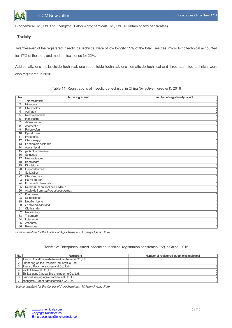

Biochemical Co., Ltd. and Zhengzhou Labor Agrochemicals Co., Ltd. (all obtaining two certificates).

#### **- Toxicity**

Twenty-seven of the registered insecticide technical were of low toxicity, 59% of the total. Besides, micro toxic technical accounted for 17% of the total, and medium toxic ones for 22%.

Additionally, one molluscicide technical, one rodenticide technical, one nematicide technical and three acaricide technical were also registered in 2016.

| No.             | <b>Active ingredient</b>            | Number of registered product |
|-----------------|-------------------------------------|------------------------------|
| $\mathbf{1}$    | Thiamethoxam                        |                              |
| $\overline{2}$  | Nitenpyram                          | $\frac{5}{2}$                |
| 3               | Chlorpyrifos                        |                              |
| 4               | Acrinathrin                         |                              |
| 5               | Methoxyfenozide                     |                              |
| 6               | Indoxacarb                          |                              |
| $\overline{7}$  | d-Dimonene                          | 1                            |
| 8               | Abamectin                           |                              |
| 9               | Pyriproxyfen                        |                              |
| 10              | Pymetrozine                         |                              |
| 11              | Profenofos                          |                              |
| 12              | Chlorfenapyr                        |                              |
| 13              | Semiamitraz chloride                |                              |
| 14              | Acetamiprid                         |                              |
| 15              | p-Dichlorobenzene                   |                              |
| 16              | Spinosad                            |                              |
| 17              | Metoxadiazone                       |                              |
| $\overline{18}$ | Bendiocarb                          |                              |
| 19              | Dinotefuran                         |                              |
| $\overline{20}$ | Flupyradifurone                     |                              |
| $\overline{21}$ | Sulfoxaflor                         |                              |
| $\overline{22}$ | Chlorfluazuron                      |                              |
| $\overline{23}$ | Hexaflumuron                        |                              |
| $\overline{24}$ | Emamectin benzoate                  |                              |
| $\overline{25}$ | Metarhizium anisopliae CQMa421      |                              |
| $\overline{26}$ | Akaloids from sophora alopecuroides |                              |
| $\overline{27}$ | Bifenazate                          |                              |
| $\overline{28}$ | Spirodiclofen                       |                              |
| 29              | Metaflumizone                       |                              |
| $\overline{30}$ | Beauveria bassiana                  |                              |
| $\overline{31}$ | Clothianidin                        |                              |
| $\overline{32}$ | Monosultap                          |                              |
| $\overline{33}$ | Triflumuron                         |                              |
| $\overline{34}$ | Lufenuron                           |                              |
| $\overline{35}$ | Acephate                            | 1                            |
| $\overline{36}$ | Rotenone                            | 1                            |

Table 11: Registrations of insecticide technical in China (by active ingredient), 2016

*Source: Institute for the Control of Agrochemicals, Ministry of Agriculture*

#### Table 12: Enterprises issued insecticide technical registrtaion certificates (≥2) in China, 2016

| No. | Registrant                                        | Number of registered insecticide technical |
|-----|---------------------------------------------------|--------------------------------------------|
|     | Jiangsu Good Harvest-Weien Agrochemical Co., Ltd. |                                            |
|     | Shandong United Pesticide Industry Co., Ltd.      |                                            |
|     | Jiangsu Rotam Agrochemical Co., Ltd.              |                                            |
| 4   | Youth Chemical Co., Ltd.                          |                                            |
|     | 5 Shijiazhuang Xingbai Bio-engineering Co., Ltd.  |                                            |
|     | 6 Suzhou Bianjing Agro-Biochemical Co., Ltd.      |                                            |
|     | Zhengzhou Labor Agrochemicals Co., Ltd.           |                                            |

*Source: Institute for the Control of Agrochemicals, Ministry of Agriculture*

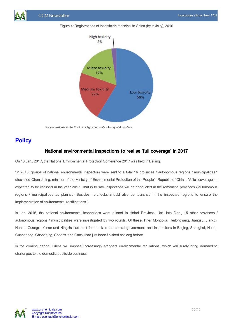







*Source: Institute for the Control of Agrochemicals, Ministry of Agriculture*

# <span id="page-21-1"></span><span id="page-21-0"></span>**Policy**

### **National environmental inspections to realise 'full coverage' in 2017**

On 10 Jan., 2017, the National Environmental Protection Conference 2017 was held in Beijing.

"In 2016, groups of national environmental inspectors were sent to a total 16 provinces / autonomous regions / municipalities," disclosed Chen Jining, minister of the Ministry of Environmental Protection of the People's Republic of China, "A 'full coverage' is expected to be realised in the year 2017. That is to say, inspections will be conducted in the remaining provinces / autonomous regions / municipalities as planned. Besides, re-checks should also be launched in the inspected regions to ensure the implementation of environmental rectifications."

In Jan. 2016, the national environmental inspections were piloted in Hebei Province. Until late Dec., 15 other provinces / autonomous regions / municipalities were investigated by two rounds. Of these, Inner Mongolia, Heilongjiang, Jiangsu, Jiangxi, Henan, Guangxi, Yunan and Ningxia had sent feedback to the central government, and inspections in Beijing, Shanghai, Hubei, Guangdong, Chongqing, Shaanxi and Gansu had just been finished not long before.

In the coming period, China will impose increasingly stringent environmental regulations, which will surely bring demanding challenges to the domestic pesticide business.

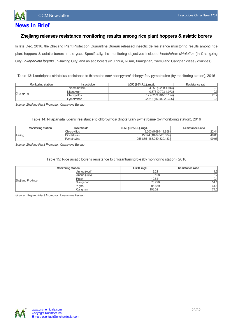

# <span id="page-22-0"></span>**News in Brief**

### <span id="page-22-1"></span>**Zhejiang releases resistance monitoring results among rice plant hoppers & asiatic borers**

In late Dec. 2016, the Zhejiang Plant Protection Quarantine Bureau released insecticide resistance monitoring results among rice plant hoppers & asiatic borers in the year. Specifically, the monitoring objectives included *laodelphax striatellus* (in Changxing City), *nilaparvata lugens* (in Jiaxing City) and asiatic borers (in Jinhua, Ruian, Xiangshan, Yaoyu and Cangnan cities / counties).

Table 13: Laodelphax striatellus' resistance to thiamethoxam/ nitenpyram/ chlorpyrifos/ pymetrozine (by monitoring station), 2016

| <b>Monitoring station</b> | Insecticide  | $LC50$ (95% F.L.), mg/L | Resistance rati |  |
|---------------------------|--------------|-------------------------|-----------------|--|
|                           | Thiamethoxam | 4.050 (3.238-4.944)     | וכי כי<br>ے ک   |  |
|                           | Nitenpyram   | 0.873 (0.703-1.073)     |                 |  |
| Changxing                 | Chlorpwifos  | 12.402 (9.981-15.124)   | 25.7            |  |
|                           | Pymetrozine  | 22.213 (16.202-29.395)  | 2.8             |  |

*Source: Zhejiang Plant Protection Quarantine Bureau*

Table 14: Nilaparvata lugens' resistance to chlorpyrifos/ dinotefuran/ pymetrozine (by monitoring station), 2016

| <b>Monitoring station</b> | Insecticide         | LC50 (95% F.L.), mg/L     | <b>Resistance Ratio</b> |
|---------------------------|---------------------|---------------------------|-------------------------|
|                           | <b>Chlorpyrifos</b> | 9.203 (5.694-11.958)      | $\cap$<br>22.44         |
| Jiaxing                   | Dinotefuran         | 15.124 (10.843-20.684)    | 49.80                   |
|                           | Pymetrozine         | 256.885 (188.259-329.133) | 99.95                   |

*Source: Zhejiang Plant Protection Quarantine Bureau*

Table 15: Rice asiatic borer's resistance to chlorantraniliprole (by monitoring station), 2016

| <b>Monitoring station</b> |                | $LC50$ , mg/L | Resistance ratio |
|---------------------------|----------------|---------------|------------------|
|                           | Jinhua (April) | 2.211         | l.6              |
|                           | Jinhua (July)  |               | 8.108<br>6.2     |
| Zhejiang Province         | Ruian          | 12.641        | 9.1              |
|                           | Xiangshan      | 75.298        | 54.1             |
|                           | Yuyao          | 85.859        | 61.6             |
|                           | Cangnan        | 103.021       | 74.0             |

*Source: Zhejiang Plant Protection Quarantine Bureau*

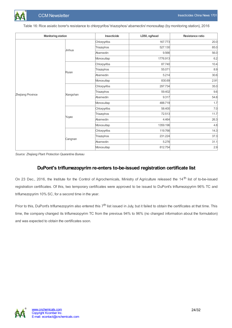

Table 16: Rice asiatic borer's resistance to chlorpyrifos/ triazophos/ abamectin/ monosultap (by monitoring station), 2016

| <b>Monitoring station</b> |           | Insecticide  | LD50, ng/head | Resistance ratio |
|---------------------------|-----------|--------------|---------------|------------------|
|                           |           | Chlorpyrifos | 167.773       | 20.0             |
|                           |           | Triazophos   | 527.130       | 85.0             |
|                           | Jinhua    | Abamectin    | 9.566         | 56.0             |
|                           |           | Monosultap   | 1776.913      | 6.2              |
|                           |           | Chlorpyrifos | 87.740        | 10.4             |
|                           | Ruian     | Triazophos   | 55.071        | 8.9              |
|                           |           | Abamectin    | 5.214         | 30.6             |
|                           |           | Monosultap   | 830.69        | 2.91             |
|                           |           | Chlorpyrifos | 297.734       | 35.0             |
| Zhejiang Province         |           | Triazophos   | 59.402        | 9.6              |
|                           | Xiangshan | Abamectin    | 9.317         | 54.8             |
|                           |           | Monosultap   | 488.719       | 1.7              |
|                           |           | Chlorpyrifos | 58.400        | 7.0              |
|                           | Yuyao     | Triazophos   | 72.513        | 11.7             |
|                           |           | Abamectin    | 4.464         | 26.3             |
|                           |           | Monosultap   | 1359.196      | 4.8              |
|                           |           | Chlorpyrifos | 119.766       | 14.3             |
|                           |           | Triazophos   | 231.224       | 37.3             |
|                           | Cangnan   | Abamectin    | 5.276         | 31.1             |
|                           |           | Monosultap   | 812.754       | 2.9              |

*Source: Zhejiang Plant Protection Quarantine Bureau*

## **DuPont's triflumezopyrim re-enters to-be-issued registration certificate list**

<span id="page-23-0"></span>On 23 Dec., 2016, the Institute for the Control of Agrochemicals, Ministry of Agriculture released the 14<sup>th</sup> list of to-be-issued registration certificates. Of this, two temporary certificates were approved to be issued to DuPont's triflumezopyrim 96% TC and triflumezopyrim 10% SC, for a second time in the year.

Prior to this, DuPont's triflumezopyrim also entered this 7<sup>th</sup> list issued in July, but it failed to obtain the certificates at that time. This time, the company changed its triflumezopyrim TC from the previous 94% to 96% (no changed information about the formulation) and was expected to obtain the certificates soon.

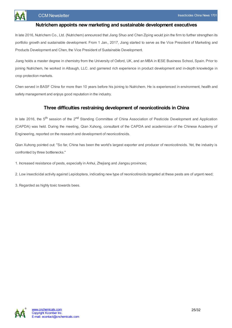

### **Nutrichem appoints new marketing and sustainable development executives**

<span id="page-24-0"></span>In late 2016, Nutrichem Co., Ltd. (Nutrichem) announced that Jiang Shuo and Chen Ziping would join the firm to further strengthen its portfolio growth and sustainable development. From 1 Jan., 2017, Jiang started to serve as the Vice President of Marketing and Products Development and Chen, the Vice President of Sustainable Development.

Jiang holds a master degree in chemistry from the University of Oxford, UK, and an MBA in IESE Business School, Spain. Prior to joining Nutrichem, he worked in Albaugh, LLC. and garnered rich experience in product development and in-depth knowledge in crop protection markets.

Chen served in BASF China for more than 10 years before his joining to Nutrichem. He is experienced in environment, health and safety management and enjoys good reputation in the industry.

### **Three difficulties restraining development of neonicotinoids in China**

<span id="page-24-1"></span>In late 2016, the 5<sup>th</sup> session of the 2<sup>nd</sup> Standing Committee of China Association of Pesticide Development and Application (CAPDA) was held. During the meeting, Qian Xuhong, consultant of the CAPDA and academician of the Chinese Academy of Engineering, reported on the research and development of neonicotinoids.

Qian Xuhong pointed out: "So far, China has been the world's largest exporter and producer of neonicotinoids. Yet, the industry is confronted by three bottlenecks."

1. Increased resistance of pests, especially in Anhui, Zhejiang and Jiangsu provinces;

2. Low insecticidal activity against Lepidoptera, indicating new type of neonicotinoids targeted at these pests are of urgent need;

3. Regarded as highly toxic towards bees.

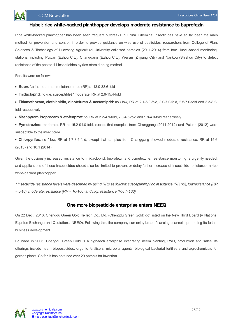

### **Hubei: rice white-backed planthopper develops moderate resistance to buprofezin**

<span id="page-25-0"></span>Rice white-backed planthopper has been seen frequent outbreaks in China. Chemical insecticides have so far been the main method for prevention and control. In order to provide guidance on wise use of pesticides, researchers from College of Plant Sciences & Technology of Huazhong Agricultural University collected samples (2011-2014) from four Hubei-based monitoring stations, including Putuan (Ezhou City), Changgang (Ezhou City), Wenan (Zhijiang City) and Nankou (Shishou City) to detect resistance of the pest to 11 insecticides by rice-stem dipping method.

Results were as follows:

- **Buprofezin**: moderate, resistance ratio (RR) at 13.0-38.6-fold
- **Imidacloprid**: no (i.e. susceptible) / moderate, RR at 2.6-15.4-fold
- **Thiamethoxam, clothianidin, dinotefuran & acetamiprid**: no / low, RR at 2.1-6.9-fold, 3.0-7.0-fold, 2.5-7.0-fold and 3.3-8.2 fold respectively
- **Nitenpyram, isoprocarb & etofenprox**: no, RR at 2.2-4.9-fold, 2.0-4.6-fold and 1.8-4.0-fold respectively
- **Pymetrozine**: moderate, RR at 15.2-91.0-fold, except that samples from Changgang (2011-2012) and Putuan (2012) were susceptible to the insecticide
- **Chlorpyrifos**: no / low, RR at 1.7-8.5-fold, except that samples from Changgang showed moderate resistance, RR at 15.6 (2013) and 10.1 (2014)

Given the obviously increased resistance to imidacloprid, buprofezin and pymetrozine, resistance monitoring is urgently needed, and applications of these insecticides should also be limited to prevent or delay further increase of insecticide resistance in rice white-backed planthopper.

\* Insecticide resistance levels were described by using RRs as follows: susceptibility / no resistance (RR ≤5), low resistance (RR *= 5-10), moderate resistance (RR = 10-100) and high resistance (RR* <sup>&</sup>gt;*100).*

### **One more biopesticide enterprise enters NEEQ**

<span id="page-25-1"></span>On 22 Dec., 2016, Chengdu Green Gold Hi-Tech Co., Ltd. (Chengdu Green Gold) got listed on the New Third Board (= National Equities Exchange and Quotations, NEEQ). Following this, the company can enjoy broad financing channels, promoting its further business development.

Founded in 2006, Chengdu Green Gold is a high-tech enterprise integrating neem planting, R&D, production and sales. Its offerings include neem biopesticides, organic fertilisers, microbial agents, biological bacterial fertilisers and agrochemicals for garden plants. So far, it has obtained over 20 patents for invention.

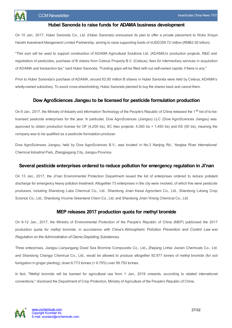### **Hubei Sanonda to raise funds for ADAMAbusiness development**

<span id="page-26-0"></span>On 10 Jan., 2017, Hubei Sanonda Co., Ltd. (Hubei Sanonda) announced its plan to offer a private placement to Wuhu Xinyun Hanshi Investment Mangement Limited Partnership, aiming to raise supporting funds of ≤USD359.72 million (RMB2.50 billion).

"This sum will be used to support construction of ADAMA Agricultural Solutions Ltd. (ADAMA)'s production projects, R&D and registration of pesticides, purchase of B shares from Celsius Property B.V. (Celsius), fees for intermediary services in acquisition of ADAMA and transaction tax," said Hubei Sanonda, "Funding gaps will be filled with our self-owned capital, if there is any."

Prior to Hubei Sanonda's purchase of ADAMA, around 62.95 million B shares in Hubei Sanonda were held by Celsius, ADAMA's wholly-owned subsidiary. To avoid cross-shareholding, Hubei Sanonda planned to buy the shares back and cancel them.

### **Dow AgroSciences Jiangsu to be licensed for pesticide formulation production**

<span id="page-26-1"></span>On 9 Jan., 2017, the Ministry of Industry and Information Technology of the People's Republic of China released the 1<sup>st</sup> list of to-belicensed pesticide enterprises for the year. In particular, Dow AgroSciences (Jiangsu) LLC (Dow AgroSciences Jiangsu) was approved to obtain production license for OF (4,200 t/a), SC (two projects: 4,300 t/a + 1,450 t/a) and AS (50 t/a), meaning the company was to be qualified as a pesticide formulation producer.

Dow AgroSciences Jiangsu, held by Dow AgroSciences B.V., was located in No.3 Nanjing Rd., Yangtse River International Chemical Industrial Park, Zhangjiagang City, Jiangsu Province.

### <span id="page-26-2"></span>**Several pesticide enterprises ordered to reduce pollution for emergency regulation in Ji'nan**

On 13 Jan., 2017, the Ji'nan Environmental Protection Department issued the list of enterprises ordered to reduce pollutant discharge for emergency heavy pollution treatment. Altogether 73 enterprises in the city were involved, of which five were pesticide producers, including Shandong Luba Chemical Co., Ltd., Shandong Jinan Kesai Agrochem Co., Ltd., Shandong Lvbang Crop Science Co., Ltd., Shandong Vicome Greenland Chem Co., Ltd. and Shandong Jinan Yinong Chemical Co., Ltd.

### **MEP releases 2017 production quota for methyl bromide**

<span id="page-26-3"></span>On 6-12 Jan., 2017, the Ministry of Environmental Protection of the People's Republic of China (MEP) publicised the 2017 production quota for methyl bromide, in accordance with China's *Atmospheric Pollution Prevention and Control Law* and *Regulation on the Administration of Ozone Depleting Substances*.

Three enterprises, Jiangsu Lianyungang Dead Sea Bromine Compounds Co., Ltd.**,** Zhejiang Linhai Jianxin Chemicals Co., Ltd. and Shandong Changyi Chemical Co., Ltd., would be allowed to produce altogether 92.977 tonnes of methyl bromide (for soil fumigation in ginger planting), down 6.773 tonnes (= 6.79%) over 99.750 tonnes.

In fact, "Methyl bromide will be banned for agricultural use from 1 Jan., 2019 onwards, according to related international conventions," disclosed the Department of Crop Protection, Ministry of Agriculture of the People's Republic of China.

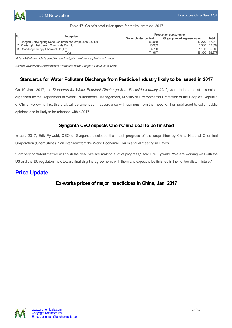|  |  | Table 17: China's production quota for methyl bromide, 2017 |  |
|--|--|-------------------------------------------------------------|--|

| No. | Enterprise                                               | Production quota, tonne |                              |              |  |
|-----|----------------------------------------------------------|-------------------------|------------------------------|--------------|--|
|     |                                                          | Ginger planted on field | Ginger planted in greenhouse | <b>Total</b> |  |
|     | Uiangsu Lianyungang Dead Sea Bromine Compounds Co., Ltd. | 53.948                  | 13.2701                      | 67.218       |  |
|     | 2 Zhejiang Linhai Jianxin Chemicals Co., Ltd.            | 15.969                  | 3.930                        | 19.899       |  |
|     | 3 Shandong Changyi Chemical Co., Ltd.                    | 4.700                   | 1.160                        | 5.860        |  |
|     | Total                                                    | 74.617                  | 18.360                       | 92.977       |  |

*Note: Methyl bromide is used for soil fumigation before the planting of ginger.*

*Source: Ministry of Environmental Protection of the People's Republic of China*

### <span id="page-27-0"></span>**Standards for Water Pollutant Discharge from Pesticide Industry likely to be issued in 2017**

On 10 Jan., 2017, the *Standards for Water Pollutant Discharge from Pesticide Industry (draft)* was deliberated at a seminar organised by the Department of Water Environmental Management, Ministry of Environmental Protection of the People's Republic of China. Following this, this draft will be amended in accordance with opinions from the meeting, then publicised to solicit public opinions and is likely to be released within 2017.

### **Syngenta CEO expects ChemChina deal to be finished**

<span id="page-27-1"></span>In Jan. 2017, Erik Fyrwald, CEO of Syngenta disclosed the latest progress of the acquisition by China National Chemical Corporation (ChemChina) in an interview from the World Economic Forum annual meeting in Davos.

"I am very confident that we will finish the deal. We are making a lot of progress," said Erik Fyrwald, "We are working well with the US and the EU regulators now toward finalising the agreements with them and expect to be finished in the not too distant future."

# <span id="page-27-3"></span><span id="page-27-2"></span>**Price Update**

### **Ex-works prices of major insecticides in China, Jan. 2017**

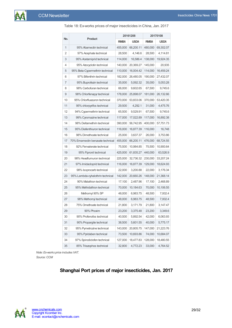| No. |                                  |              | 20161208  |              | 20170108  |  |  |
|-----|----------------------------------|--------------|-----------|--------------|-----------|--|--|
|     | Product                          | <b>RMB/t</b> | USD/t     | <b>RMB/t</b> | USD/t     |  |  |
| 1   | 95% Abamectin technical          | 455,000      | 66,200.11 | 480,000      | 69,302.07 |  |  |
| 2   | 97% Acephate technical           | 28,500       | 4,146.6   | 28,500       | 4,114.81  |  |  |
| 3   | 95% Acetamiprid technical        | 114,000      | 16,586.4  | 138,000      | 19,924.35 |  |  |
| 4   | 95% Azocyclotin technical        | 140,000      | 20,369.27 | 145,000      | 20,935    |  |  |
| 5   | 95% Beta-Cypermethrin technical  | 110.000      | 16,004.42 | 114,000      | 16,459.24 |  |  |
| 6   | 97% Bifenthrin technical         | 182,000      | 26,480.05 | 190,000      | 27,432.07 |  |  |
| 7   | 95% Buprofezin technical         | 35,000       | 5,092.32  | 35,000       | 5,053.28  |  |  |
| 8   | 98% Carbofuran technical         | 66,000       | 9,602.65  | 67,500       | 9,745.6   |  |  |
| 9   | 98% Chlorfenapyr technical       | 178,000      | 25,898.07 | 181,000      | 26,132.66 |  |  |
| 10  | 95% Chlorfluazuron technical     | 370,000      | 53,833.06 | 370,000      | 53,420.35 |  |  |
| 11  | 95% chlorpyrifos technical       | 29,500       | 4,292.1   | 31,000       | 4,475.76  |  |  |
| 12  | 94% Cypermethrin technical       | 65,500       | 9,529.91  | 67,500       | 9,745.6   |  |  |
| 13  | 99% Cyromazine technical         | 117,000      | 17,022.89 | 117,000      | 16,892.38 |  |  |
| 14  | 98% Deltamethrin technical       | 390,000      | 56,742.95 | 400,000      | 57,751.73 |  |  |
| 15  | 95% Diafenthiuron technical      | 116,000      | 16,877.39 | 116,000      | 16,748    |  |  |
| 16  | 98% Dimethoate technical         | 25,000       | 3,637.37  | 26,000       | 3,753.86  |  |  |
| 17  | 70% Emamectin benzoate technical | 455,000      | 66,200.11 | 476,000      | 68,724.55 |  |  |
| 18  | 92% Fenvalerate technical        | 75,500       | 10,984.85 | 75,500       | 10,900.64 |  |  |
| 19  | 95% Fipronil technical           | 425,000      | 61,835.27 | 440,000      | 63,526.9  |  |  |
| 20  | 98% Hexaflumuron technical       | 225,000      | 32,736.32 | 230,000      | 33,207.24 |  |  |
| 21  | 97% Imidacloprid technical       | 116,000      | 16,877.39 | 129,000      | 18,624.93 |  |  |
| 22  | 98% Isoprocarb technical         | 22,000       | 3,200.88  | 22,000       | 3,176.34  |  |  |
| 23  | 95% Lambda-cyhalothrin technical | 142,000      | 20,660.26 | 148,000      | 21,368.14 |  |  |
| 24  | 90% Malathion technical          | 17,100       | 2,487.96  | 17,100       | 2,468.89  |  |  |
| 25  | 95% Methidathion technical       | 70,000       | 10,184.63 | 70,000       | 10,106.55 |  |  |
| 26  | Methomyl 90% SP                  | 48,000       | 6,983.75  | 48,500       | 7,002.4   |  |  |
| 27  | 98% Methomy technical            | 48,000       | 6,983.75  | 48,500       | 7,002.4   |  |  |
| 28  | 75% Omethoate technical          | 21,800       | 3,171.79  | 21,800       | 3,147.47  |  |  |
| 29  | 90% Phoxim                       | 23,200       | 3,375.48  | 23,200       | 3,349.6   |  |  |
| 30  | 90% Profenofos technical         | 40,500       | 5,892.54  | 42,000       | 6,063.93  |  |  |
| 31  | 90% Propargite technical         | 38,500       | 5,601.55  | 40,000       | 5,775.17  |  |  |
| 32  | 95% Pymetrozine technical        | 143,000      | 20,805.75 | 147,000      | 21,223.76 |  |  |
| 33  | 95% Pyridaben technical          | 73,500       | 10,693.86 | 74,000       | 10,684.07 |  |  |
| 34  | 97% Spirodiclofen technical      | 127,000      | 18,477.83 | 128,000      | 18,480.55 |  |  |
| 35  | 85% Triazophos technical         | 32,800       | 4,772.23  | 33,000       | 4,764.52  |  |  |

Table 18: Ex-works prices of major insecticides in China, Jan. 2017

<span id="page-28-0"></span>*Note: Ex-works price includes VAT.* Source: CCM

### **Shanghai Port prices of major insecticides, Jan. 2017**

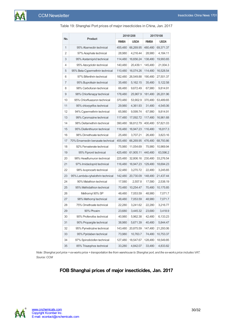|     |                                  |              | 20161208  | 20170108     |           |  |
|-----|----------------------------------|--------------|-----------|--------------|-----------|--|
| No. | Product                          | <b>RMB/t</b> | USD/t     | <b>RMB/t</b> | USD/t     |  |
| 1   | 95% Abamectin technical          | 455,480      | 66,269.95 | 480,480      | 69,371.37 |  |
| 2   | 97% Acephate technical           | 28,980       | 4,216.44  | 28,980       | 4,184.11  |  |
| 3   | 95% Acetamiprid technical        | 114,480      | 16,656.24 | 138,480      | 19,993.65 |  |
| 4   | 95% Azocyclotin technical        | 140,480      | 20,439.1  | 145,480      | 21,004.3  |  |
| 5   | 95% Beta-Cypermethrin technical  | 110,480      | 16,074.26 | 114,480      | 16,528.54 |  |
| 6   | 97% Bifenthrin technical         | 182,480      | 26,549.88 | 190,480      | 27,501.37 |  |
| 7   | 95% Buprofezin technical         | 35,480       | 5,162.15  | 35,480       | 5,122.58  |  |
| 8   | 98% Carbofuran technical         | 66,480       | 9,672.49  | 67,980       | 9,814.91  |  |
| 9   | 98% Chlorfenapyr technical       | 178,480      | 25,967.9  | 181,480      | 26,201.96 |  |
| 10  | 95% Chlorfluazuron technical     | 370,480      | 53,902.9  | 370,480      | 53,489.65 |  |
| 11  | 95% chlorpyrifos technical       | 29,980       | 4,361.93  | 31,480       | 4,545.06  |  |
| 12  | 94% Cypermethrin technical       | 65,980       | 9,599.74  | 67,980       | 9,814.91  |  |
| 13  | 99% Cyromazine technical         | 117,480      | 17,092.72 | 117,480      | 16,961.68 |  |
| 14  | 98% Deltamethrin technical       | 390,480      | 56,812.79 | 400,480      | 57,821.03 |  |
| 15  | 95% Diafenthiuron technical      | 116,480      | 16,947.23 | 116,480      | 16,817.3  |  |
| 16  | 98% Dimethoate technical         | 25,480       | 3,707.21  | 26,480       | 3,823.16  |  |
| 17  | 70% Emamectin benzoate technical | 455,480      | 66,269.95 | 476,480      | 68.793.86 |  |
| 18  | 92% Fenvalerate technical        | 75,980       | 11,054.69 | 75,980       | 10,969.94 |  |
| 19  | 95% Fipronil technical           | 425,480      | 61,905.11 | 440,480      | 63,596.2  |  |
| 20  | 98% Hexaflumuron technical       | 225,480      | 32,806.16 | 230,480      | 33,276.54 |  |
| 21  | 97% Imidacloprid technical       | 116,480      | 16,947.23 | 129,480      | 18,694.23 |  |
| 22  | 98% Isoprocarb technical         | 22,480       | 3,270.72  | 22,480       | 3,245.65  |  |
| 23  | 95% Lambda-cyhalothrin technical | 142,480      | 20,730.09 | 148,480      | 21,437.44 |  |
| 24  | 90% Malathion technical          | 17,580       | 2,557.8   | 17,580       | 2,538.19  |  |
| 25  | 95% Methidathion technical       | 70,480       | 10,254.47 | 70,480       | 10,175.85 |  |
| 26  | Methomyl 90% SP                  | 48,480       | 7,053.59  | 48,980       | 7,071.7   |  |
| 27  | 98% Methomy technical            | 48,480       | 7,053.59  | 48,980       | 7,071.7   |  |
| 28  | 75% Omethoate technical          | 22,280       | 3,241.62  | 22,280       | 3,216.77  |  |
| 29  | 90% Phoxim                       | 23,680       | 3,445.32  | 23,680       | 3,418.9   |  |
| 30  | 90% Profenofos technical         | 40,980       | 5,962.38  | 42,480       | 6,133.23  |  |
| 31  | 90% Propargite technical         | 38,980       | 5,671.39  | 40,480       | 5,844.47  |  |
| 32  | 95% Pymetrozine technical        | 143,480      | 20,875.59 | 147,480      | 21,293.06 |  |
| 33  | 95% Pyridaben technical          | 73,980       | 10,763.7  | 74,480       | 10,753.37 |  |
| 34  | 97% Spirodiclofen technical      | 127,480      | 18,547.67 | 128,480      | 18,549.85 |  |
| 35  | 85% Triazophos technical         | 33,280       | 4,842.07  | 33,480       | 4,833.82  |  |

Table 19: Shanghai Port prices of major insecticides in China, Jan. 2017

<span id="page-29-0"></span>Note: Shanghai port price = ex-works price + transportation fee from warehouse to Shanghai port, and the ex-works price includes VAT. Source: CCM

### **FOB Shanghai prices of major insecticides, Jan. 2017**

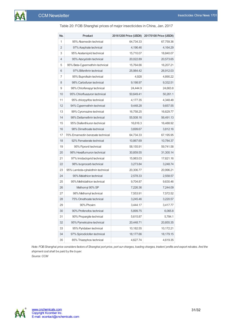|                                  |                                                                                                                                                                                 | 20170108 Price (USD/t)                                                                                         |
|----------------------------------|---------------------------------------------------------------------------------------------------------------------------------------------------------------------------------|----------------------------------------------------------------------------------------------------------------|
|                                  |                                                                                                                                                                                 | 67,759.36                                                                                                      |
|                                  |                                                                                                                                                                                 | 4,164.29                                                                                                       |
|                                  |                                                                                                                                                                                 | 18,840.07                                                                                                      |
| 95% Azocyclotin technical        | 20,022.89                                                                                                                                                                       | 20,573.65                                                                                                      |
| 95% Beta-Cypermethrin technical  | 15,764.66                                                                                                                                                                       | 16,207.21                                                                                                      |
| 97% Bifenthrin technical         | 25,984.42                                                                                                                                                                       | 26,912.03                                                                                                      |
| 95% Buprofezin technical         | 4,928                                                                                                                                                                           | 4,890.22                                                                                                       |
| 98% Carbofuran technical         | 9,198.97                                                                                                                                                                        | 9,332.51                                                                                                       |
| 98% Chlorfenapyr technical       | 24,444.9                                                                                                                                                                        | 24,663.8                                                                                                       |
| 95% Chlorfluazuron technical     | 50,649.41                                                                                                                                                                       | 50,261.1                                                                                                       |
| 95% chlorpyrifos technical       | 4,177.35                                                                                                                                                                        | 4,348.48                                                                                                       |
| 94% Cypermethrin technical       | 9,448.28                                                                                                                                                                        | 9,657.55                                                                                                       |
| 99% Cyromazine technical         | 16,758.25                                                                                                                                                                       | 16,629.77                                                                                                      |
| 98% Deltamethrin technical       | 55,508.16                                                                                                                                                                       | 56,491.13                                                                                                      |
| 95% Diafenthiuron technical      | 16,616.3                                                                                                                                                                        | 16,488.92                                                                                                      |
| 98% Dimethoate technical         | 3,699.67                                                                                                                                                                        | 3,812.16                                                                                                       |
| 70% Emamectin benzoate technical | 64,734.33                                                                                                                                                                       | 67,195.95                                                                                                      |
| 92% Fenvalerate technical        | 10,867.69                                                                                                                                                                       | 10,784.37                                                                                                      |
| 95% Fipronil technical           | 58,155.91                                                                                                                                                                       | 59,741.58                                                                                                      |
| 98% Hexaflumuron technical       | 30,859.55                                                                                                                                                                       | 31,300.14                                                                                                      |
| 97% Imidacloprid technical       | 15,983.03                                                                                                                                                                       | 17,621.16                                                                                                      |
| 98% Isoprocarb technical         | 3,273.84                                                                                                                                                                        | 3,248.74                                                                                                       |
| 95% Lambda-cyhalothrin technical | 20,306.77                                                                                                                                                                       | 20,996.21                                                                                                      |
| 90% Malathion technical          | 2,578.33                                                                                                                                                                        | 2,558.57                                                                                                       |
| 95% Methidathion technical       | 9,704.87                                                                                                                                                                        | 9,630.46                                                                                                       |
| Methomyl 90% SP                  | 7,226.36                                                                                                                                                                        | 7,244.09                                                                                                       |
| 98% Methomyl technical           | 7,553.91                                                                                                                                                                        | 7,572.52                                                                                                       |
| 75% Omethoate technical          | 3,245.46                                                                                                                                                                        | 3,220.57                                                                                                       |
| 90% Phoxim                       |                                                                                                                                                                                 | 3,417.77                                                                                                       |
| 90% Profenofos technical         | 5,899.75                                                                                                                                                                        | 6,065.8                                                                                                        |
| 90% Propargite technical         | 5,615.87                                                                                                                                                                        | 5,784.1                                                                                                        |
| 95% Pymetrozine technical        | 20,448.71                                                                                                                                                                       | 20,855.35                                                                                                      |
|                                  |                                                                                                                                                                                 | 10,172.21                                                                                                      |
|                                  |                                                                                                                                                                                 | 18,179.15                                                                                                      |
|                                  |                                                                                                                                                                                 | 4,619.35                                                                                                       |
|                                  | Product<br>95% Abamectin technical<br>97% Acephate technical<br>95% Acetamiprid technical<br>95% Pyridaben technical<br>97% Spirodiclofen technical<br>85% Triazophos technical | 20161208 Price (USD/t)<br>64,734.33<br>4,196.46<br>15,710.07<br>3,444.17<br>10,182.55<br>18,177.66<br>4,627.74 |

Table 20: FOB Shanghai prices of major insecticides in China, Jan. 2017

Note: FOB Shanghai price considers factors of Shanghai port price, port sur-charges, loading charges, traders' profits and export rebates. And the *shipment cost shall be paid by the buyer.*

Source: CCM